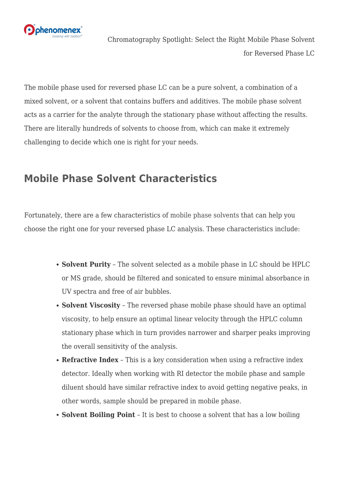

Chromatography Spotlight: Select the Right Mobile Phase Solvent for Reversed Phase LC

The mobile phase used for reversed phase LC can be a pure solvent, a combination of a mixed solvent, or a solvent that contains buffers and additives. The mobile phase solvent acts as a carrier for the analyte through the stationary phase without affecting the results. There are literally hundreds of solvents to choose from, which can make it extremely challenging to decide which one is right for your needs.

## **Mobile Phase Solvent Characteristics**

Fortunately, there are a few characteristics of [mobile phase solvents](https://www.phenomenex.com/Products/HPLCDetail/SECC?utm_campaign=blog%20articles&utm_source=worpress&utm_medium=social&utm_term=brightedge%20content&utm_content=hplc-column-lcms) that can help you choose the right one for your reversed phase LC analysis. These characteristics include:

- **Solvent Purity** The solvent selected as a mobile phase in LC should be HPLC or MS grade, should be filtered and sonicated to ensure minimal absorbance in UV spectra and free of air bubbles.
- **Solvent Viscosity** The reversed phase mobile phase should have an optimal viscosity, to help ensure an optimal linear velocity through the HPLC column stationary phase which in turn provides narrower and sharper peaks improving the overall sensitivity of the analysis.
- **Refractive Index** This is a key consideration when using a refractive index detector. Ideally when working with RI detector the mobile phase and sample diluent should have similar refractive index to avoid getting negative peaks, in other words, sample should be prepared in mobile phase.
- **Solvent Boiling Point** It is best to choose a solvent that has a low boiling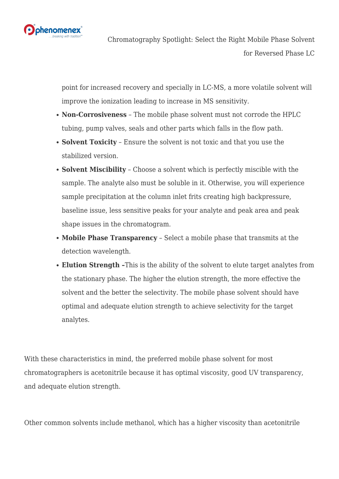

point for increased recovery and specially in LC-MS, a more volatile solvent will improve the ionization leading to increase in MS sensitivity.

- **Non-Corrosiveness** The mobile phase solvent must not corrode the HPLC tubing, pump valves, seals and other parts which falls in the flow path.
- **Solvent Toxicity** Ensure the solvent is not toxic and that you use the stabilized version.
- **Solvent Miscibility** Choose a solvent which is perfectly miscible with the sample. The analyte also must be soluble in it. Otherwise, you will experience sample precipitation at the column inlet frits creating high backpressure, baseline issue, less sensitive peaks for your analyte and peak area and peak shape issues in the chromatogram.
- **Mobile Phase Transparency** Select a mobile phase that transmits at the detection wavelength.
- **Elution Strength –**This is the ability of the solvent to elute target analytes from the stationary phase. The higher the elution strength, the more effective the solvent and the better the selectivity. The mobile phase solvent should have optimal and adequate elution strength to achieve selectivity for the target analytes.

With these characteristics in mind, the preferred mobile phase solvent for most chromatographers is acetonitrile because it has optimal viscosity, good UV transparency, and adequate elution strength.

Other common solvents include methanol, which has a higher viscosity than acetonitrile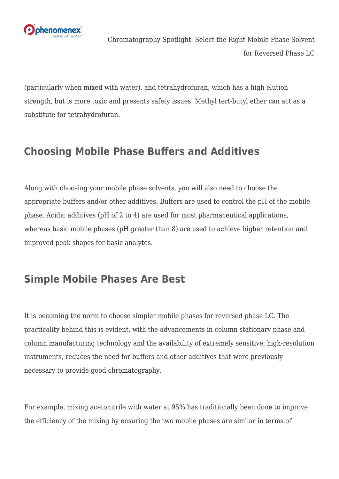

(particularly when mixed with water), and tetrahydrofuran, which has a high elution strength, but is more toxic and presents safety issues. Methyl tert-butyl ether can act as a substitute for tetrahydrofuran.

## **Choosing Mobile Phase Buffers and Additives**

Along with choosing your mobile phase solvents, you will also need to choose the appropriate buffers and/or other additives. Buffers are used to control the pH of the mobile phase. Acidic additives (pH of 2 to 4) are used for most pharmaceutical applications, whereas basic mobile phases (pH greater than 8) are used to achieve higher retention and improved peak shapes for basic analytes.

## **Simple Mobile Phases Are Best**

It is becoming the norm to choose simpler mobile phases for [reversed phase LC.](https://www.phenomenex.com/hplc-column/reversed-phase-hplc-column?utm_campaign=blog%20articles&utm_source=worpress&utm_medium=social&utm_term=brightedge%20content&utm_content=mobile-phase-solvent) The practicality behind this is evident, with the advancements in column stationary phase and column manufacturing technology and the availability of extremely sensitive, high-resolution instruments, reduces the need for buffers and other additives that were previously necessary to provide good chromatography.

For example, mixing acetonitrile with water at 95% has traditionally been done to improve the efficiency of the mixing by ensuring the two mobile phases are similar in terms of